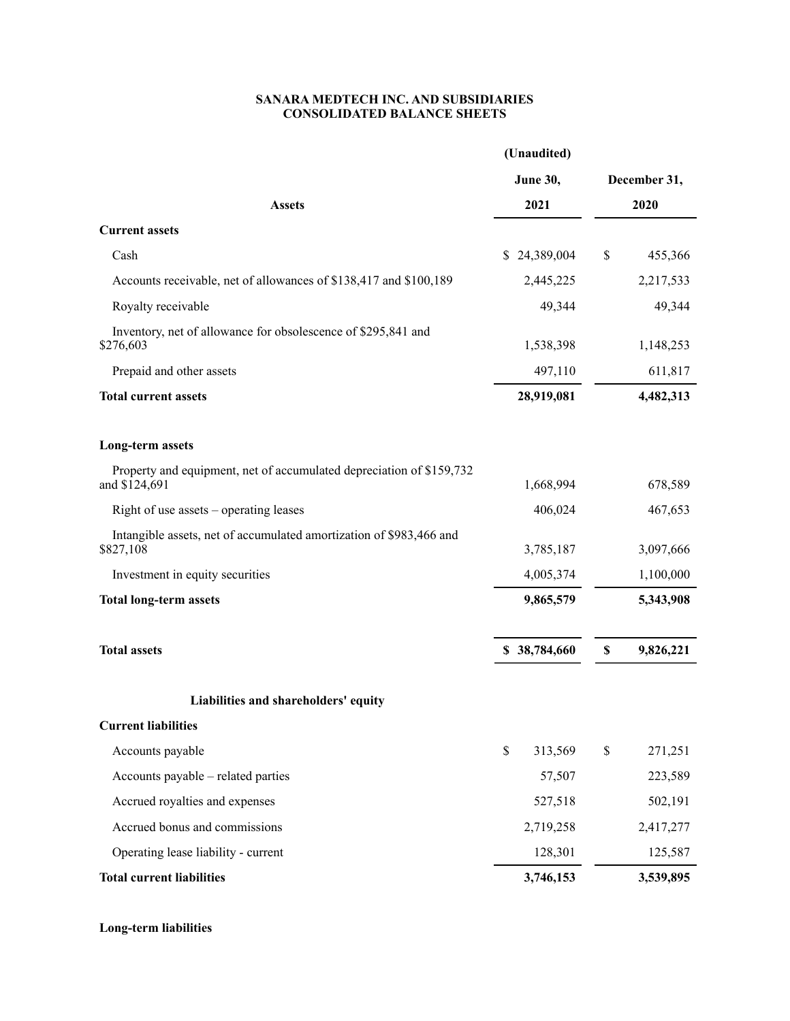## **SANARA MEDTECH INC. AND SUBSIDIARIES CONSOLIDATED BALANCE SHEETS**

|                                                                                       | (Unaudited)     |              |           |  |  |
|---------------------------------------------------------------------------------------|-----------------|--------------|-----------|--|--|
|                                                                                       | <b>June 30,</b> | December 31, |           |  |  |
| <b>Assets</b>                                                                         | 2021            |              | 2020      |  |  |
| <b>Current assets</b>                                                                 |                 |              |           |  |  |
| Cash                                                                                  | \$24,389,004    | \$           | 455,366   |  |  |
| Accounts receivable, net of allowances of \$138,417 and \$100,189                     | 2,445,225       |              | 2,217,533 |  |  |
| Royalty receivable                                                                    | 49,344          |              | 49,344    |  |  |
| Inventory, net of allowance for obsolescence of \$295,841 and<br>\$276,603            | 1,538,398       |              | 1,148,253 |  |  |
| Prepaid and other assets                                                              | 497,110         |              | 611,817   |  |  |
| <b>Total current assets</b>                                                           | 28,919,081      | 4,482,313    |           |  |  |
| <b>Long-term assets</b>                                                               |                 |              |           |  |  |
| Property and equipment, net of accumulated depreciation of \$159,732<br>and \$124,691 | 1,668,994       |              | 678,589   |  |  |
| Right of use assets – operating leases                                                | 406,024         |              | 467,653   |  |  |
| Intangible assets, net of accumulated amortization of \$983,466 and<br>\$827,108      | 3,785,187       |              | 3,097,666 |  |  |
| Investment in equity securities                                                       | 4,005,374       |              | 1,100,000 |  |  |
| <b>Total long-term assets</b>                                                         | 9,865,579       |              | 5,343,908 |  |  |
| <b>Total assets</b>                                                                   | \$38,784,660    | \$           | 9,826,221 |  |  |
| Liabilities and shareholders' equity                                                  |                 |              |           |  |  |
| <b>Current liabilities</b>                                                            |                 |              |           |  |  |
| Accounts payable                                                                      | \$<br>313,569   | \$           | 271,251   |  |  |
| Accounts payable - related parties                                                    | 57,507          |              | 223,589   |  |  |
| Accrued royalties and expenses                                                        | 527,518         |              | 502,191   |  |  |
| Accrued bonus and commissions                                                         | 2,719,258       |              | 2,417,277 |  |  |
| Operating lease liability - current                                                   | 128,301         |              | 125,587   |  |  |
| <b>Total current liabilities</b>                                                      | 3,746,153       |              | 3,539,895 |  |  |

**Long-term liabilities**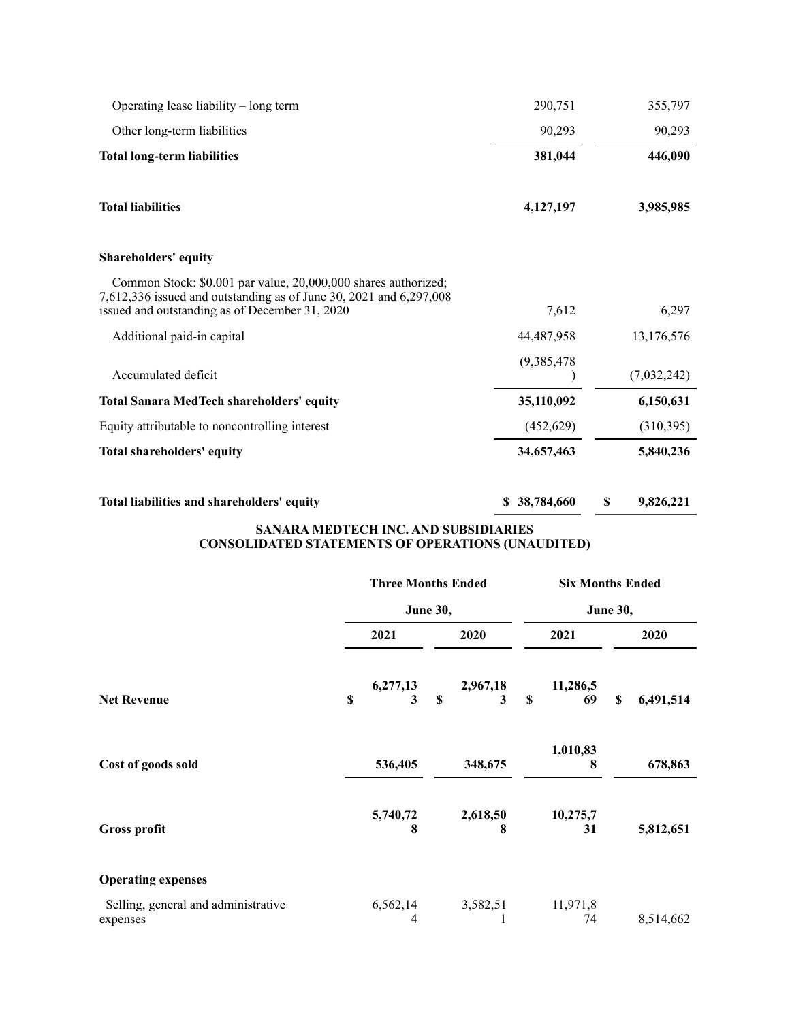| Operating lease liability – long term                                                                                                                                                  | 290,751     | 355,797     |
|----------------------------------------------------------------------------------------------------------------------------------------------------------------------------------------|-------------|-------------|
| Other long-term liabilities                                                                                                                                                            | 90,293      | 90,293      |
| <b>Total long-term liabilities</b>                                                                                                                                                     | 381,044     | 446,090     |
| <b>Total liabilities</b>                                                                                                                                                               | 4,127,197   | 3,985,985   |
| <b>Shareholders' equity</b>                                                                                                                                                            |             |             |
| Common Stock: \$0.001 par value, 20,000,000 shares authorized;<br>7,612,336 issued and outstanding as of June 30, 2021 and 6,297,008<br>issued and outstanding as of December 31, 2020 | 7,612       | 6,297       |
| Additional paid-in capital                                                                                                                                                             | 44,487,958  | 13,176,576  |
| Accumulated deficit                                                                                                                                                                    | (9,385,478) | (7,032,242) |
| <b>Total Sanara MedTech shareholders' equity</b>                                                                                                                                       | 35,110,092  | 6,150,631   |
| Equity attributable to noncontrolling interest                                                                                                                                         | (452, 629)  | (310, 395)  |
| <b>Total shareholders' equity</b>                                                                                                                                                      | 34,657,463  | 5,840,236   |
|                                                                                                                                                                                        |             |             |

| Total liabilities and shareholders' equity | \$38,784,660 | 9,826,221 |
|--------------------------------------------|--------------|-----------|
|                                            |              |           |

## **SANARA MEDTECH INC. AND SUBSIDIARIES CONSOLIDATED STATEMENTS OF OPERATIONS (UNAUDITED)**

|                                                 | <b>Three Months Ended</b><br><b>June 30,</b> |                              | <b>Six Months Ended</b>       |                |  |  |
|-------------------------------------------------|----------------------------------------------|------------------------------|-------------------------------|----------------|--|--|
|                                                 |                                              |                              | <b>June 30,</b>               |                |  |  |
|                                                 | 2021                                         | 2020                         | 2021                          | 2020           |  |  |
| <b>Net Revenue</b>                              | 6,277,13<br>\$<br>3                          | 2,967,18<br>$\mathbf S$<br>3 | 11,286,5<br>$\mathbf S$<br>69 | 6,491,514<br>S |  |  |
| Cost of goods sold                              | 536,405                                      | 348,675                      | 1,010,83<br>8                 | 678,863        |  |  |
| Gross profit                                    | 5,740,72<br>8                                | 2,618,50<br>8                | 10,275,7<br>31                | 5,812,651      |  |  |
| <b>Operating expenses</b>                       |                                              |                              |                               |                |  |  |
| Selling, general and administrative<br>expenses | 6,562,14<br>4                                | 3,582,51                     | 11,971,8<br>74                | 8,514,662      |  |  |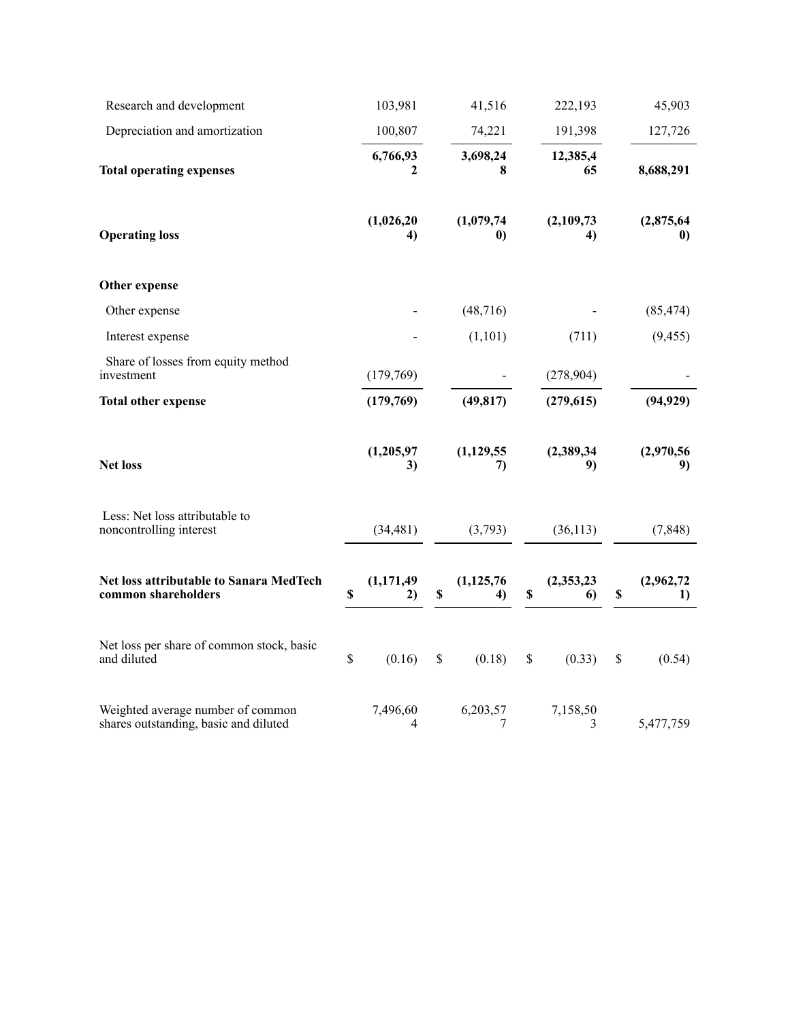| Research and development                                                   |      | 103,981          | 41,516                         | 222,193                | 45,903                 |
|----------------------------------------------------------------------------|------|------------------|--------------------------------|------------------------|------------------------|
| Depreciation and amortization                                              |      | 100,807          | 74,221                         | 191,398                | 127,726                |
| <b>Total operating expenses</b>                                            |      | 6,766,93<br>2    | 3,698,24<br>8                  | 12,385,4<br>65         | 8,688,291              |
| <b>Operating loss</b>                                                      |      | (1,026,20)<br>4) | (1,079,74)<br>$\boldsymbol{0}$ | (2,109,73)<br>4)       | (2,875,64)<br>$\bf{0}$ |
| Other expense                                                              |      |                  |                                |                        |                        |
| Other expense                                                              |      |                  | (48, 716)                      |                        | (85, 474)              |
| Interest expense                                                           |      |                  | (1,101)                        | (711)                  | (9, 455)               |
| Share of losses from equity method<br>investment                           |      | (179,769)        |                                | (278, 904)             |                        |
| <b>Total other expense</b>                                                 |      | (179,769)        | (49, 817)                      | (279, 615)             | (94, 929)              |
| <b>Net loss</b>                                                            |      | (1,205,97)<br>3) | (1, 129, 55)<br>7)             | (2,389,34)<br>9)       | (2,970,56)<br>9)       |
| Less: Net loss attributable to<br>noncontrolling interest                  |      | (34, 481)        | (3,793)                        | (36, 113)              | (7, 848)               |
| Net loss attributable to Sanara MedTech<br>common shareholders             | \$   | (1,171,49)<br>2) | \$<br>(1, 125, 76)<br>4)       | \$<br>(2,353,23)<br>6) | \$<br>(2,962,72)<br>1) |
| Net loss per share of common stock, basic<br>and diluted                   | $\$$ | (0.16)           | \$<br>(0.18)                   | \$<br>(0.33)           | \$<br>(0.54)           |
| Weighted average number of common<br>shares outstanding, basic and diluted |      | 7,496,60<br>4    | 6,203,57<br>7                  | 7,158,50<br>3          | 5,477,759              |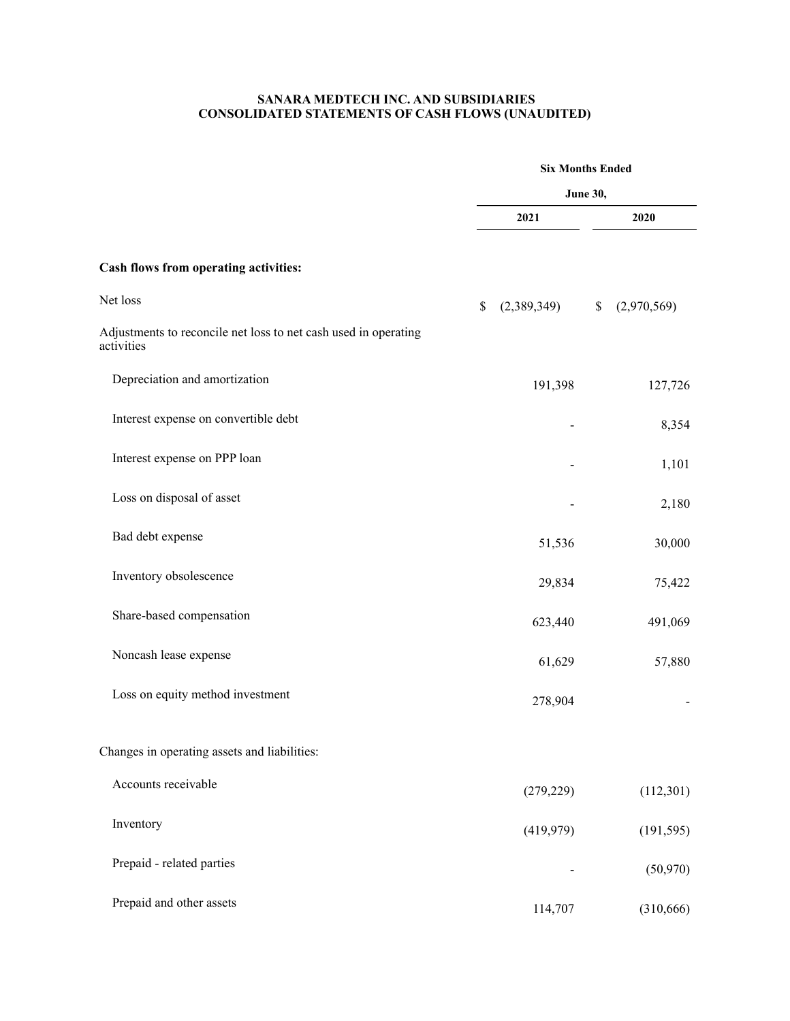## **SANARA MEDTECH INC. AND SUBSIDIARIES CONSOLIDATED STATEMENTS OF CASH FLOWS (UNAUDITED)**

|                                                                               | <b>Six Months Ended</b><br><b>June 30,</b> |                   |  |  |
|-------------------------------------------------------------------------------|--------------------------------------------|-------------------|--|--|
|                                                                               |                                            |                   |  |  |
|                                                                               | 2021                                       | 2020              |  |  |
| Cash flows from operating activities:                                         |                                            |                   |  |  |
| Net loss                                                                      | (2,389,349)<br>\$                          | (2,970,569)<br>\$ |  |  |
| Adjustments to reconcile net loss to net cash used in operating<br>activities |                                            |                   |  |  |
| Depreciation and amortization                                                 | 191,398                                    | 127,726           |  |  |
| Interest expense on convertible debt                                          |                                            | 8,354             |  |  |
| Interest expense on PPP loan                                                  |                                            | 1,101             |  |  |
| Loss on disposal of asset                                                     |                                            | 2,180             |  |  |
| Bad debt expense                                                              | 51,536                                     | 30,000            |  |  |
| Inventory obsolescence                                                        | 29,834                                     | 75,422            |  |  |
| Share-based compensation                                                      | 623,440                                    | 491,069           |  |  |
| Noncash lease expense                                                         | 61,629                                     | 57,880            |  |  |
| Loss on equity method investment                                              | 278,904                                    |                   |  |  |
| Changes in operating assets and liabilities:                                  |                                            |                   |  |  |
| Accounts receivable                                                           | (279, 229)                                 | (112,301)         |  |  |
| Inventory                                                                     | (419,979)                                  | (191, 595)        |  |  |
| Prepaid - related parties                                                     |                                            | (50, 970)         |  |  |
| Prepaid and other assets                                                      | 114,707                                    | (310, 666)        |  |  |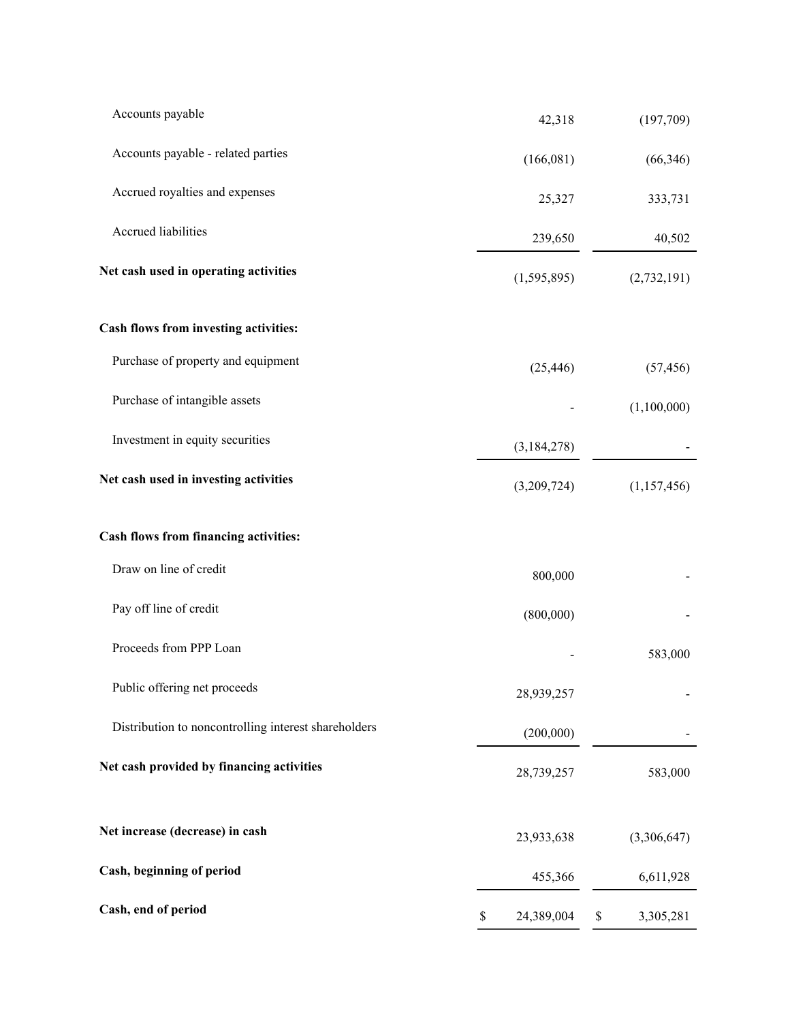| Accounts payable                                     | 42,318           | (197,709)       |
|------------------------------------------------------|------------------|-----------------|
| Accounts payable - related parties                   | (166,081)        | (66, 346)       |
| Accrued royalties and expenses                       | 25,327           | 333,731         |
| Accrued liabilities                                  | 239,650          | 40,502          |
| Net cash used in operating activities                | (1,595,895)      | (2,732,191)     |
| Cash flows from investing activities:                |                  |                 |
| Purchase of property and equipment                   | (25, 446)        | (57, 456)       |
| Purchase of intangible assets                        |                  | (1,100,000)     |
| Investment in equity securities                      | (3,184,278)      |                 |
| Net cash used in investing activities                | (3,209,724)      | (1,157,456)     |
| Cash flows from financing activities:                |                  |                 |
| Draw on line of credit                               | 800,000          |                 |
| Pay off line of credit                               | (800,000)        |                 |
| Proceeds from PPP Loan                               |                  | 583,000         |
| Public offering net proceeds                         | 28,939,257       |                 |
| Distribution to noncontrolling interest shareholders | (200,000)        |                 |
| Net cash provided by financing activities            | 28,739,257       | 583,000         |
| Net increase (decrease) in cash                      | 23,933,638       | (3,306,647)     |
| Cash, beginning of period                            | 455,366          | 6,611,928       |
| Cash, end of period                                  | \$<br>24,389,004 | \$<br>3,305,281 |